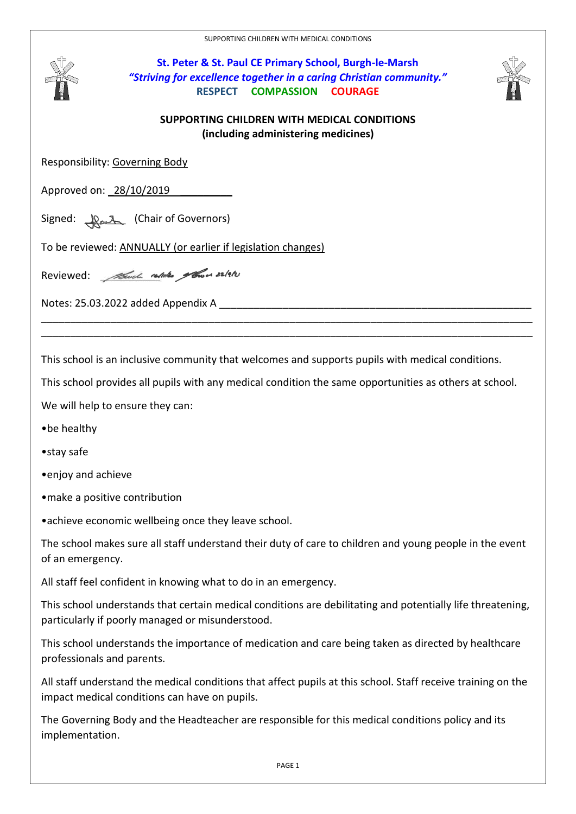

#### **St. Peter & St. Paul CE Primary School, Burgh-le-Marsh** *"Striving for excellence together in a caring Christian community."* **RESPECT COMPASSION COURAGE**



#### **SUPPORTING CHILDREN WITH MEDICAL CONDITIONS (including administering medicines)**

Responsibility: Governing Body

Approved on: 28/10/2019

Signed: (Chair of Governors)

To be reviewed: ANNUALLY (or earlier if legislation changes)

Reviewed: Town relates the 22/9/2

Notes: 25.03.2022 added Appendix A

This school is an inclusive community that welcomes and supports pupils with medical conditions.

This school provides all pupils with any medical condition the same opportunities as others at school.

\_\_\_\_\_\_\_\_\_\_\_\_\_\_\_\_\_\_\_\_\_\_\_\_\_\_\_\_\_\_\_\_\_\_\_\_\_\_\_\_\_\_\_\_\_\_\_\_\_\_\_\_\_\_\_\_\_\_\_\_\_\_\_\_\_\_\_\_\_\_\_\_\_\_\_\_\_\_\_\_\_\_\_\_\_ \_\_\_\_\_\_\_\_\_\_\_\_\_\_\_\_\_\_\_\_\_\_\_\_\_\_\_\_\_\_\_\_\_\_\_\_\_\_\_\_\_\_\_\_\_\_\_\_\_\_\_\_\_\_\_\_\_\_\_\_\_\_\_\_\_\_\_\_\_\_\_\_\_\_\_\_\_\_\_\_\_\_\_\_\_

We will help to ensure they can:

•be healthy

•stay safe

•enjoy and achieve

•make a positive contribution

•achieve economic wellbeing once they leave school.

The school makes sure all staff understand their duty of care to children and young people in the event of an emergency.

All staff feel confident in knowing what to do in an emergency.

This school understands that certain medical conditions are debilitating and potentially life threatening, particularly if poorly managed or misunderstood.

This school understands the importance of medication and care being taken as directed by healthcare professionals and parents.

All staff understand the medical conditions that affect pupils at this school. Staff receive training on the impact medical conditions can have on pupils.

The Governing Body and the Headteacher are responsible for this medical conditions policy and its implementation.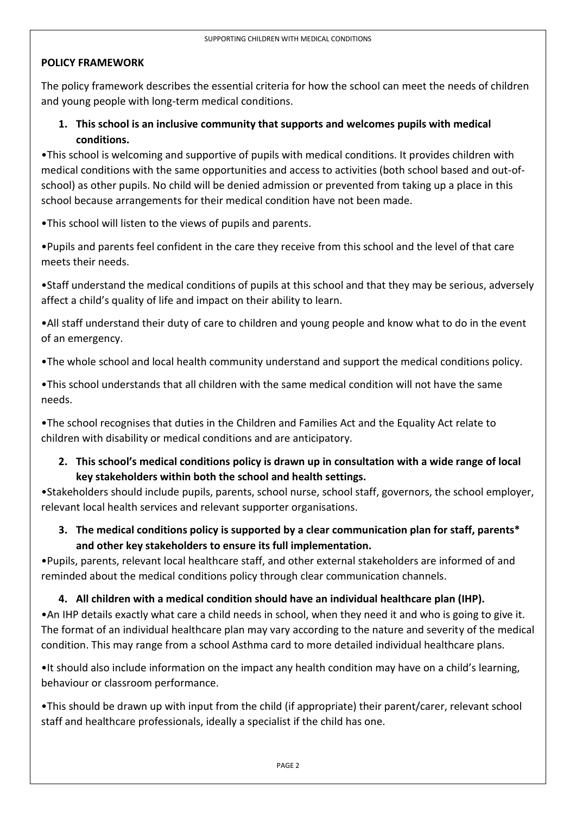#### **POLICY FRAMEWORK**

The policy framework describes the essential criteria for how the school can meet the needs of children and young people with long-term medical conditions.

#### **1. This school is an inclusive community that supports and welcomes pupils with medical conditions.**

•This school is welcoming and supportive of pupils with medical conditions. It provides children with medical conditions with the same opportunities and access to activities (both school based and out-ofschool) as other pupils. No child will be denied admission or prevented from taking up a place in this school because arrangements for their medical condition have not been made.

•This school will listen to the views of pupils and parents.

•Pupils and parents feel confident in the care they receive from this school and the level of that care meets their needs.

•Staff understand the medical conditions of pupils at this school and that they may be serious, adversely affect a child's quality of life and impact on their ability to learn.

•All staff understand their duty of care to children and young people and know what to do in the event of an emergency.

•The whole school and local health community understand and support the medical conditions policy.

•This school understands that all children with the same medical condition will not have the same needs.

•The school recognises that duties in the Children and Families Act and the Equality Act relate to children with disability or medical conditions and are anticipatory.

#### **2. This school's medical conditions policy is drawn up in consultation with a wide range of local key stakeholders within both the school and health settings.**

•Stakeholders should include pupils, parents, school nurse, school staff, governors, the school employer, relevant local health services and relevant supporter organisations.

**3. The medical conditions policy is supported by a clear communication plan for staff, parents\* and other key stakeholders to ensure its full implementation.**

•Pupils, parents, relevant local healthcare staff, and other external stakeholders are informed of and reminded about the medical conditions policy through clear communication channels.

#### **4. All children with a medical condition should have an individual healthcare plan (IHP).**

•An IHP details exactly what care a child needs in school, when they need it and who is going to give it. The format of an individual healthcare plan may vary according to the nature and severity of the medical condition. This may range from a school Asthma card to more detailed individual healthcare plans.

•It should also include information on the impact any health condition may have on a child's learning, behaviour or classroom performance.

•This should be drawn up with input from the child (if appropriate) their parent/carer, relevant school staff and healthcare professionals, ideally a specialist if the child has one.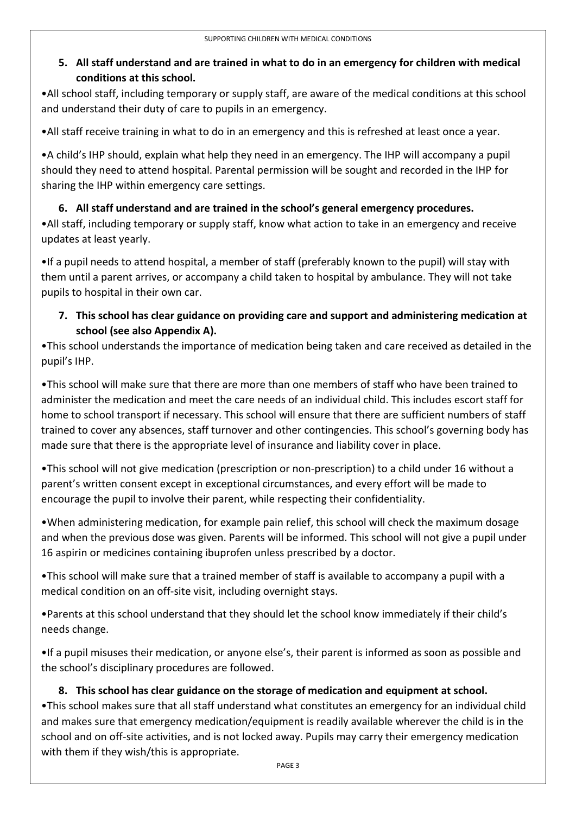## **5. All staff understand and are trained in what to do in an emergency for children with medical conditions at this school.**

•All school staff, including temporary or supply staff, are aware of the medical conditions at this school and understand their duty of care to pupils in an emergency.

•All staff receive training in what to do in an emergency and this is refreshed at least once a year.

•A child's IHP should, explain what help they need in an emergency. The IHP will accompany a pupil should they need to attend hospital. Parental permission will be sought and recorded in the IHP for sharing the IHP within emergency care settings.

## **6. All staff understand and are trained in the school's general emergency procedures.**

•All staff, including temporary or supply staff, know what action to take in an emergency and receive updates at least yearly.

•If a pupil needs to attend hospital, a member of staff (preferably known to the pupil) will stay with them until a parent arrives, or accompany a child taken to hospital by ambulance. They will not take pupils to hospital in their own car.

## **7. This school has clear guidance on providing care and support and administering medication at school (see also Appendix A).**

•This school understands the importance of medication being taken and care received as detailed in the pupil's IHP.

•This school will make sure that there are more than one members of staff who have been trained to administer the medication and meet the care needs of an individual child. This includes escort staff for home to school transport if necessary. This school will ensure that there are sufficient numbers of staff trained to cover any absences, staff turnover and other contingencies. This school's governing body has made sure that there is the appropriate level of insurance and liability cover in place.

•This school will not give medication (prescription or non-prescription) to a child under 16 without a parent's written consent except in exceptional circumstances, and every effort will be made to encourage the pupil to involve their parent, while respecting their confidentiality.

•When administering medication, for example pain relief, this school will check the maximum dosage and when the previous dose was given. Parents will be informed. This school will not give a pupil under 16 aspirin or medicines containing ibuprofen unless prescribed by a doctor.

•This school will make sure that a trained member of staff is available to accompany a pupil with a medical condition on an off-site visit, including overnight stays.

•Parents at this school understand that they should let the school know immediately if their child's needs change.

•If a pupil misuses their medication, or anyone else's, their parent is informed as soon as possible and the school's disciplinary procedures are followed.

## **8. This school has clear guidance on the storage of medication and equipment at school.**

•This school makes sure that all staff understand what constitutes an emergency for an individual child and makes sure that emergency medication/equipment is readily available wherever the child is in the school and on off-site activities, and is not locked away. Pupils may carry their emergency medication with them if they wish/this is appropriate.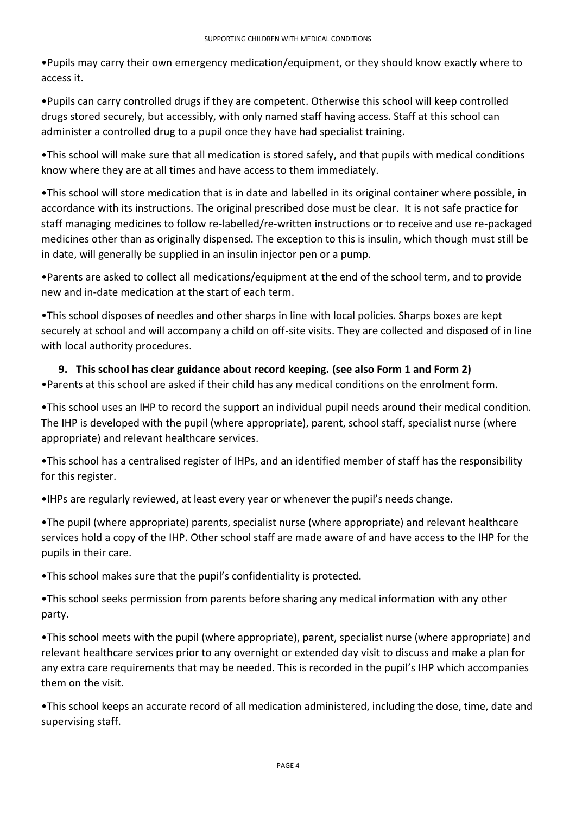•Pupils may carry their own emergency medication/equipment, or they should know exactly where to access it.

•Pupils can carry controlled drugs if they are competent. Otherwise this school will keep controlled drugs stored securely, but accessibly, with only named staff having access. Staff at this school can administer a controlled drug to a pupil once they have had specialist training.

•This school will make sure that all medication is stored safely, and that pupils with medical conditions know where they are at all times and have access to them immediately.

•This school will store medication that is in date and labelled in its original container where possible, in accordance with its instructions. The original prescribed dose must be clear. It is not safe practice for staff managing medicines to follow re-labelled/re-written instructions or to receive and use re-packaged medicines other than as originally dispensed. The exception to this is insulin, which though must still be in date, will generally be supplied in an insulin injector pen or a pump.

•Parents are asked to collect all medications/equipment at the end of the school term, and to provide new and in-date medication at the start of each term.

•This school disposes of needles and other sharps in line with local policies. Sharps boxes are kept securely at school and will accompany a child on off-site visits. They are collected and disposed of in line with local authority procedures.

**9. This school has clear guidance about record keeping. (see also Form 1 and Form 2)** •Parents at this school are asked if their child has any medical conditions on the enrolment form.

•This school uses an IHP to record the support an individual pupil needs around their medical condition. The IHP is developed with the pupil (where appropriate), parent, school staff, specialist nurse (where appropriate) and relevant healthcare services.

•This school has a centralised register of IHPs, and an identified member of staff has the responsibility for this register.

•IHPs are regularly reviewed, at least every year or whenever the pupil's needs change.

•The pupil (where appropriate) parents, specialist nurse (where appropriate) and relevant healthcare services hold a copy of the IHP. Other school staff are made aware of and have access to the IHP for the pupils in their care.

•This school makes sure that the pupil's confidentiality is protected.

•This school seeks permission from parents before sharing any medical information with any other party.

•This school meets with the pupil (where appropriate), parent, specialist nurse (where appropriate) and relevant healthcare services prior to any overnight or extended day visit to discuss and make a plan for any extra care requirements that may be needed. This is recorded in the pupil's IHP which accompanies them on the visit.

•This school keeps an accurate record of all medication administered, including the dose, time, date and supervising staff.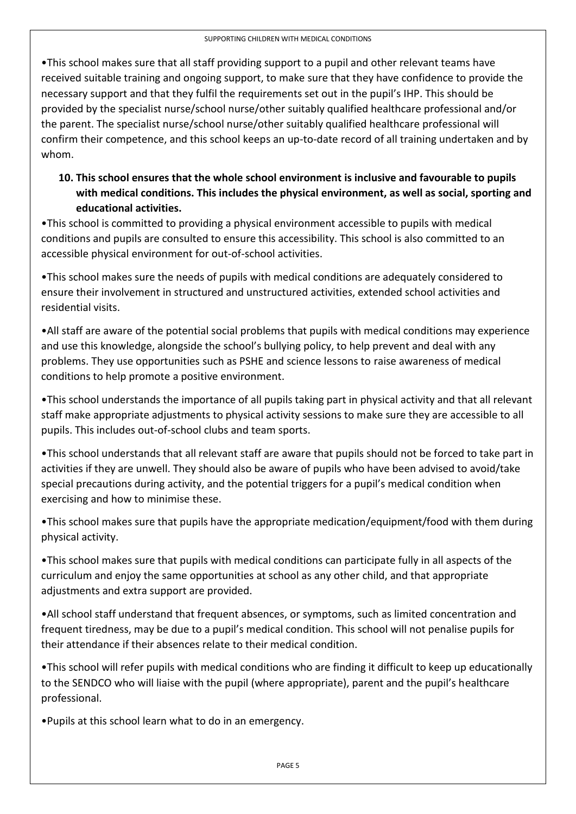•This school makes sure that all staff providing support to a pupil and other relevant teams have received suitable training and ongoing support, to make sure that they have confidence to provide the necessary support and that they fulfil the requirements set out in the pupil's IHP. This should be provided by the specialist nurse/school nurse/other suitably qualified healthcare professional and/or the parent. The specialist nurse/school nurse/other suitably qualified healthcare professional will confirm their competence, and this school keeps an up-to-date record of all training undertaken and by whom.

## **10. This school ensures that the whole school environment is inclusive and favourable to pupils with medical conditions. This includes the physical environment, as well as social, sporting and educational activities.**

•This school is committed to providing a physical environment accessible to pupils with medical conditions and pupils are consulted to ensure this accessibility. This school is also committed to an accessible physical environment for out-of-school activities.

•This school makes sure the needs of pupils with medical conditions are adequately considered to ensure their involvement in structured and unstructured activities, extended school activities and residential visits.

•All staff are aware of the potential social problems that pupils with medical conditions may experience and use this knowledge, alongside the school's bullying policy, to help prevent and deal with any problems. They use opportunities such as PSHE and science lessons to raise awareness of medical conditions to help promote a positive environment.

•This school understands the importance of all pupils taking part in physical activity and that all relevant staff make appropriate adjustments to physical activity sessions to make sure they are accessible to all pupils. This includes out-of-school clubs and team sports.

•This school understands that all relevant staff are aware that pupils should not be forced to take part in activities if they are unwell. They should also be aware of pupils who have been advised to avoid/take special precautions during activity, and the potential triggers for a pupil's medical condition when exercising and how to minimise these.

•This school makes sure that pupils have the appropriate medication/equipment/food with them during physical activity.

•This school makes sure that pupils with medical conditions can participate fully in all aspects of the curriculum and enjoy the same opportunities at school as any other child, and that appropriate adjustments and extra support are provided.

•All school staff understand that frequent absences, or symptoms, such as limited concentration and frequent tiredness, may be due to a pupil's medical condition. This school will not penalise pupils for their attendance if their absences relate to their medical condition.

•This school will refer pupils with medical conditions who are finding it difficult to keep up educationally to the SENDCO who will liaise with the pupil (where appropriate), parent and the pupil's healthcare professional.

•Pupils at this school learn what to do in an emergency.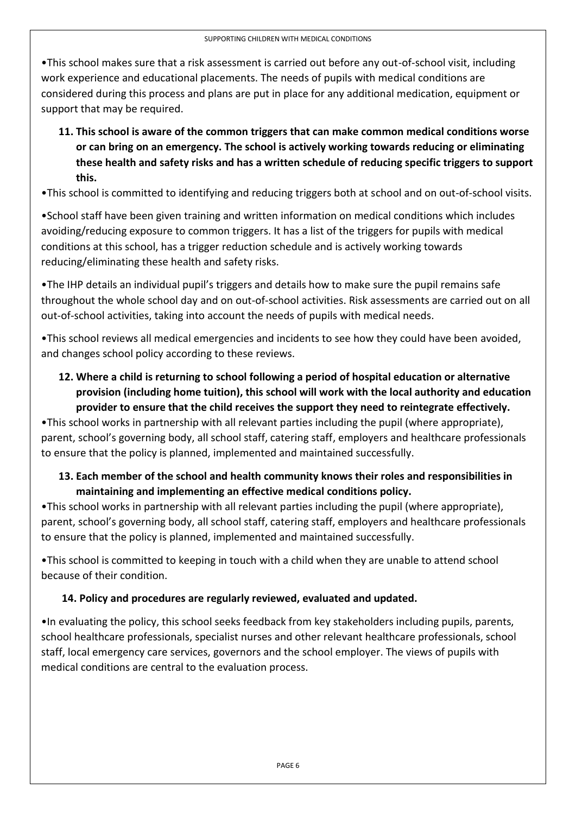•This school makes sure that a risk assessment is carried out before any out-of-school visit, including work experience and educational placements. The needs of pupils with medical conditions are considered during this process and plans are put in place for any additional medication, equipment or support that may be required.

**11. This school is aware of the common triggers that can make common medical conditions worse or can bring on an emergency. The school is actively working towards reducing or eliminating these health and safety risks and has a written schedule of reducing specific triggers to support this.**

•This school is committed to identifying and reducing triggers both at school and on out-of-school visits.

•School staff have been given training and written information on medical conditions which includes avoiding/reducing exposure to common triggers. It has a list of the triggers for pupils with medical conditions at this school, has a trigger reduction schedule and is actively working towards reducing/eliminating these health and safety risks.

•The IHP details an individual pupil's triggers and details how to make sure the pupil remains safe throughout the whole school day and on out-of-school activities. Risk assessments are carried out on all out-of-school activities, taking into account the needs of pupils with medical needs.

•This school reviews all medical emergencies and incidents to see how they could have been avoided, and changes school policy according to these reviews.

#### **12. Where a child is returning to school following a period of hospital education or alternative provision (including home tuition), this school will work with the local authority and education provider to ensure that the child receives the support they need to reintegrate effectively.**

•This school works in partnership with all relevant parties including the pupil (where appropriate), parent, school's governing body, all school staff, catering staff, employers and healthcare professionals to ensure that the policy is planned, implemented and maintained successfully.

## **13. Each member of the school and health community knows their roles and responsibilities in maintaining and implementing an effective medical conditions policy.**

•This school works in partnership with all relevant parties including the pupil (where appropriate), parent, school's governing body, all school staff, catering staff, employers and healthcare professionals to ensure that the policy is planned, implemented and maintained successfully.

•This school is committed to keeping in touch with a child when they are unable to attend school because of their condition.

## **14. Policy and procedures are regularly reviewed, evaluated and updated.**

•In evaluating the policy, this school seeks feedback from key stakeholders including pupils, parents, school healthcare professionals, specialist nurses and other relevant healthcare professionals, school staff, local emergency care services, governors and the school employer. The views of pupils with medical conditions are central to the evaluation process.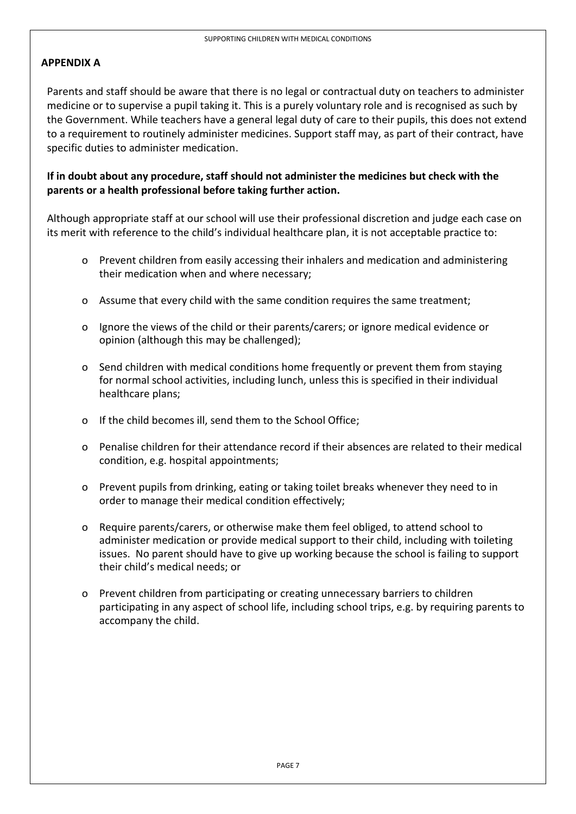#### **APPENDIX A**

Parents and staff should be aware that there is no legal or contractual duty on teachers to administer medicine or to supervise a pupil taking it. This is a purely voluntary role and is recognised as such by the Government. While teachers have a general legal duty of care to their pupils, this does not extend to a requirement to routinely administer medicines. Support staff may, as part of their contract, have specific duties to administer medication.

**If in doubt about any procedure, staff should not administer the medicines but check with the parents or a health professional before taking further action.**

Although appropriate staff at our school will use their professional discretion and judge each case on its merit with reference to the child's individual healthcare plan, it is not acceptable practice to:

- o Prevent children from easily accessing their inhalers and medication and administering their medication when and where necessary;
- o Assume that every child with the same condition requires the same treatment;
- o Ignore the views of the child or their parents/carers; or ignore medical evidence or opinion (although this may be challenged);
- o Send children with medical conditions home frequently or prevent them from staying for normal school activities, including lunch, unless this is specified in their individual healthcare plans;
- o If the child becomes ill, send them to the School Office;
- o Penalise children for their attendance record if their absences are related to their medical condition, e.g. hospital appointments;
- o Prevent pupils from drinking, eating or taking toilet breaks whenever they need to in order to manage their medical condition effectively;
- o Require parents/carers, or otherwise make them feel obliged, to attend school to administer medication or provide medical support to their child, including with toileting issues. No parent should have to give up working because the school is failing to support their child's medical needs; or
- o Prevent children from participating or creating unnecessary barriers to children participating in any aspect of school life, including school trips, e.g. by requiring parents to accompany the child.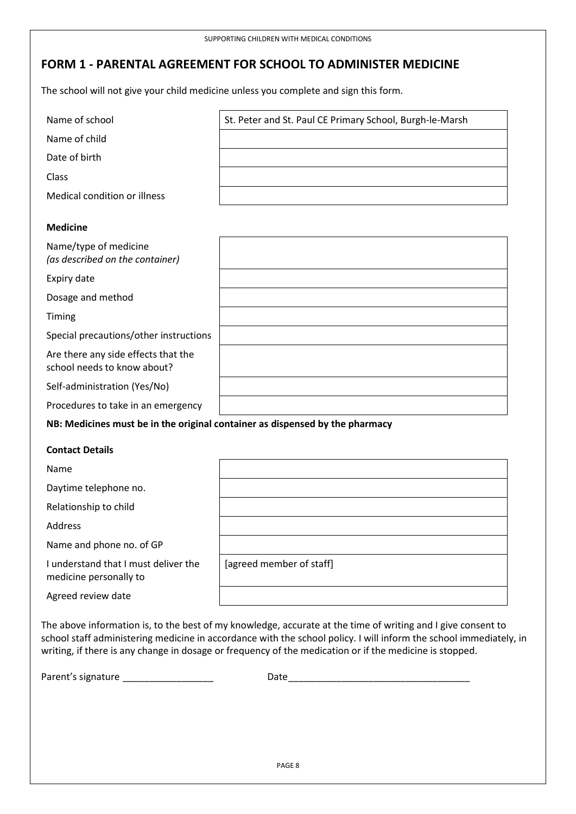| SUPPORTING CHILDREN WITH MEDICAL CONDITIONS                                          |                                                                                                                                                                                                                                                                                                                                               |  |  |  |
|--------------------------------------------------------------------------------------|-----------------------------------------------------------------------------------------------------------------------------------------------------------------------------------------------------------------------------------------------------------------------------------------------------------------------------------------------|--|--|--|
|                                                                                      | <b>FORM 1 - PARENTAL AGREEMENT FOR SCHOOL TO ADMINISTER MEDICINE</b>                                                                                                                                                                                                                                                                          |  |  |  |
| The school will not give your child medicine unless you complete and sign this form. |                                                                                                                                                                                                                                                                                                                                               |  |  |  |
| Name of school                                                                       | St. Peter and St. Paul CE Primary School, Burgh-le-Marsh                                                                                                                                                                                                                                                                                      |  |  |  |
| Name of child                                                                        |                                                                                                                                                                                                                                                                                                                                               |  |  |  |
| Date of birth                                                                        |                                                                                                                                                                                                                                                                                                                                               |  |  |  |
| Class                                                                                |                                                                                                                                                                                                                                                                                                                                               |  |  |  |
| Medical condition or illness                                                         |                                                                                                                                                                                                                                                                                                                                               |  |  |  |
| <b>Medicine</b>                                                                      |                                                                                                                                                                                                                                                                                                                                               |  |  |  |
| Name/type of medicine<br>(as described on the container)                             |                                                                                                                                                                                                                                                                                                                                               |  |  |  |
| Expiry date                                                                          |                                                                                                                                                                                                                                                                                                                                               |  |  |  |
| Dosage and method                                                                    |                                                                                                                                                                                                                                                                                                                                               |  |  |  |
| Timing                                                                               |                                                                                                                                                                                                                                                                                                                                               |  |  |  |
| Special precautions/other instructions                                               |                                                                                                                                                                                                                                                                                                                                               |  |  |  |
| Are there any side effects that the<br>school needs to know about?                   |                                                                                                                                                                                                                                                                                                                                               |  |  |  |
| Self-administration (Yes/No)                                                         |                                                                                                                                                                                                                                                                                                                                               |  |  |  |
| Procedures to take in an emergency                                                   |                                                                                                                                                                                                                                                                                                                                               |  |  |  |
| NB: Medicines must be in the original container as dispensed by the pharmacy         |                                                                                                                                                                                                                                                                                                                                               |  |  |  |
| <b>Contact Details</b>                                                               |                                                                                                                                                                                                                                                                                                                                               |  |  |  |
| Name                                                                                 |                                                                                                                                                                                                                                                                                                                                               |  |  |  |
| Daytime telephone no.                                                                |                                                                                                                                                                                                                                                                                                                                               |  |  |  |
| Relationship to child                                                                |                                                                                                                                                                                                                                                                                                                                               |  |  |  |
| Address                                                                              |                                                                                                                                                                                                                                                                                                                                               |  |  |  |
| Name and phone no. of GP                                                             |                                                                                                                                                                                                                                                                                                                                               |  |  |  |
| I understand that I must deliver the<br>medicine personally to                       | [agreed member of staff]                                                                                                                                                                                                                                                                                                                      |  |  |  |
| Agreed review date                                                                   |                                                                                                                                                                                                                                                                                                                                               |  |  |  |
|                                                                                      | The above information is, to the best of my knowledge, accurate at the time of writing and I give consent to<br>school staff administering medicine in accordance with the school policy. I will inform the school immediately, in<br>writing, if there is any change in dosage or frequency of the medication or if the medicine is stopped. |  |  |  |
| Parent's signature __________________                                                |                                                                                                                                                                                                                                                                                                                                               |  |  |  |
|                                                                                      |                                                                                                                                                                                                                                                                                                                                               |  |  |  |